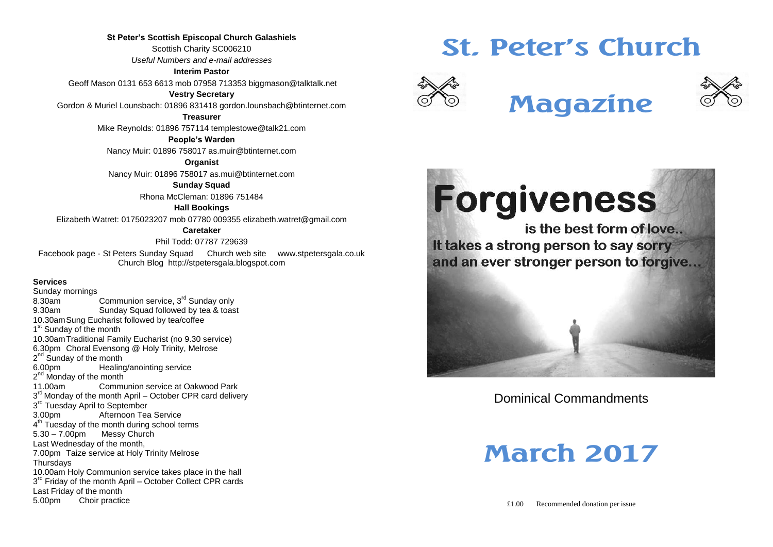**St Peter's Scottish Episcopal Church Galashiels** Scottish Charity SC006210 *Useful Numbers and e-mail addresses*

**Interim Pastor**

Geoff Mason 0131 653 6613 mob 07958 713353 biggmason@talktalk.net

**Vestry Secretary**

Gordon & Muriel Lounsbach: 01896 831418 gordon.lounsbach@btinternet.com

**Treasurer**

Mike Reynolds: 01896 757114 templestowe@talk21.com

**People's Warden**

Nancy Muir: 01896 758017 as.muir@btinternet.com

**Organist**

Nancy Muir: 01896 758017 as.mui@btinternet.com

**Sunday Squad**

Rhona McCleman: 01896 751484

**Hall Bookings**

Elizabeth Watret: 0175023207 mob 07780 009355 elizabeth.watret@gmail.com

**Caretaker**

Phil Todd: 07787 729639

Facebook page - St Peters Sunday Squad Church web site www.stpetersgala.co.uk Church Blog [http://stpetersgala.blogspot.com](http://stpetersgala.blogspot.com/)

#### **Services**

Sunday mornings 8.30am Communion service, 3<sup>rd</sup> Sunday only 9.30am Sunday Squad followed by tea & toast 10.30amSung Eucharist followed by tea/coffee 1<sup>st</sup> Sunday of the month 10.30amTraditional Family Eucharist (no 9.30 service) 6.30pm Choral Evensong @ Holy Trinity, Melrose 2<sup>nd</sup> Sunday of the month 6.00pm Healing/anointing service 2<sup>nd</sup> Monday of the month 11.00am Communion service at Oakwood Park 3<sup>rd</sup> Monday of the month April – October CPR card delivery 3<sup>rd</sup> Tuesday April to September 3.00pm Afternoon Tea Service  $4<sup>th</sup>$  Tuesday of the month during school terms 5.30 – 7.00pm Messy Church Last Wednesday of the month, 7.00pm Taize service at Holy Trinity Melrose **Thursdays** 10.00am Holy Communion service takes place in the hall 3<sup>rd</sup> Friday of the month April - October Collect CPR cards Last Friday of the month 5.00pm Choir practice

# **St. Peter's Church**



# **Magazine**



is the best form of love... It takes a strong person to say sorry and an ever stronger person to forgive...

Dominical Commandments

# **March 2017**

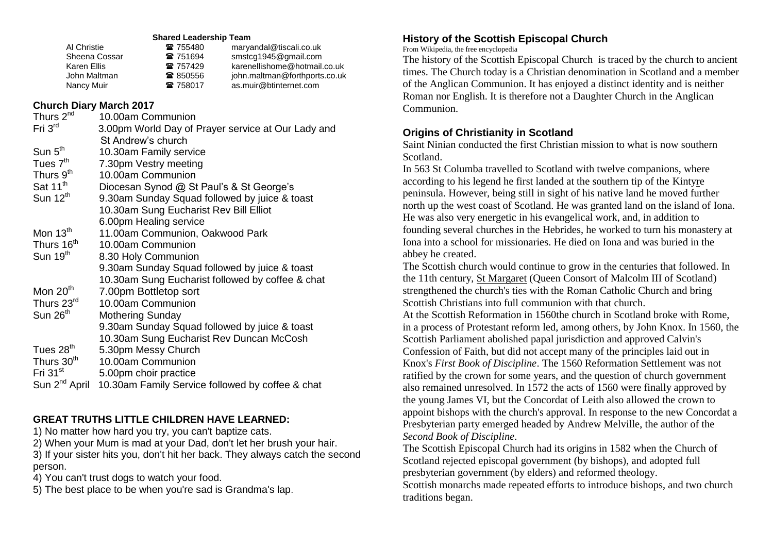#### **Shared Leadership Team**

| ☎ 755480 | maryandal@tiscali.co.uk       |
|----------|-------------------------------|
| ☎ 751694 | smstcg1945@gmail.com          |
| ☎ 757429 | karenellishome@hotmail.co.uk  |
| ☎ 850556 | john.maltman@forthports.co.uk |
| ☎ 758017 | as.muir@btinternet.com        |
|          |                               |

#### **Church Diary March 2017**

| Thurs 2 <sup>nd</sup>     | 10.00am Communion                                  |
|---------------------------|----------------------------------------------------|
| Fri $3rd$                 | 3.00pm World Day of Prayer service at Our Lady and |
|                           | St Andrew's church                                 |
| Sun 5 <sup>th</sup>       | 10.30am Family service                             |
| Tues 7 <sup>th</sup>      | 7.30pm Vestry meeting                              |
| Thurs 9 <sup>th</sup>     | 10.00am Communion                                  |
| Sat 11 <sup>th</sup>      | Diocesan Synod @ St Paul's & St George's           |
| Sun 12 <sup>th</sup>      | 9.30am Sunday Squad followed by juice & toast      |
|                           | 10.30am Sung Eucharist Rev Bill Elliot             |
|                           | 6.00pm Healing service                             |
| Mon 13 <sup>th</sup>      | 11.00am Communion, Oakwood Park                    |
| Thurs 16 <sup>th</sup>    | 10.00am Communion                                  |
| Sun $19th$                | 8.30 Holy Communion                                |
|                           | 9.30am Sunday Squad followed by juice & toast      |
|                           | 10.30am Sung Eucharist followed by coffee & chat   |
| Mon 20 <sup>th</sup>      | 7.00pm Bottletop sort                              |
| Thurs 23rd                | 10.00am Communion                                  |
| Sun 26 <sup>th</sup>      | <b>Mothering Sunday</b>                            |
|                           | 9.30am Sunday Squad followed by juice & toast      |
|                           | 10.30am Sung Eucharist Rev Duncan McCosh           |
| Tues 28 <sup>th</sup>     | 5.30pm Messy Church                                |
| Thurs 30 <sup>th</sup>    | 10.00am Communion                                  |
| Fri $31st$                | 5.00pm choir practice                              |
| Sun 2 <sup>nd</sup> April | 10.30am Family Service followed by coffee & chat   |

#### **GREAT TRUTHS LITTLE CHILDREN HAVE LEARNED:**

1) No matter how hard you try, you can't baptize cats.

2) When your Mum is mad at your Dad, don't let her brush your hair.

3) If your sister hits you, don't hit her back. They always catch the second person.

4) You can't trust dogs to watch your food.

5) The best place to be when you're sad is Grandma's lap.

#### **History of the Scottish Episcopal Church**

From Wikipedia, the free encyclopedia

The history of the [Scottish Episcopal Church](https://en.wikipedia.org/wiki/Scottish_Episcopal_Church) is traced by the church to ancient times. The Church today is a [Christian](https://en.wikipedia.org/wiki/Christian) denomination in [Scotland](https://en.wikipedia.org/wiki/Scotland) and a member of the [Anglican Communion.](https://en.wikipedia.org/wiki/Anglican_Communion) It has enjoyed a distinct identity and is neither Roman nor English. It is therefore not a Daughter Church in the Anglican Communion.

#### **Origins of Christianity in Scotland**

[Saint Ninian](https://en.wikipedia.org/wiki/Saint_Ninian) conducted the first Christian mission to what is now southern Scotland.

In 563 [St Columba](https://en.wikipedia.org/wiki/St_Columba) travelled to Scotland with twelve companions, where according to his legend he first landed at the southern tip of the [Kintyre](https://en.wikipedia.org/wiki/Kintyre) peninsula. However, being still in sight of his native land he moved further north up the west coast of Scotland. He was granted land on the island of [Iona.](https://en.wikipedia.org/wiki/Iona) He was also very energetic in his evangelical work, and, in addition to founding several churches in the [Hebrides,](https://en.wikipedia.org/wiki/Hebrides) he worked to turn his monastery at Iona into a school for missionaries. He died on Iona and was buried in the abbey he created.

The Scottish church would continue to grow in the centuries that followed. In the 11th century, [St Margaret](https://en.wikipedia.org/wiki/Saint_Margaret_of_Scotland) (Queen Consort of [Malcolm III of Scotland\)](https://en.wikipedia.org/wiki/Malcolm_III_of_Scotland) strengthened the church's ties with the [Roman Catholic Church](https://en.wikipedia.org/wiki/Roman_Catholic_Church) and bring Scottish Christians into full communion with that church.

At the [Scottish Reformation](https://en.wikipedia.org/wiki/Scottish_Reformation) in 1560the church in Scotland broke with Rome, in a process of Protestant reform led, among others, by [John Knox.](https://en.wikipedia.org/wiki/John_Knox) In 1560, the Scottish Parliament abolished papal jurisdiction and approved Calvin's Confession of Faith, but did not accept many of the principles laid out in Knox's *[First Book of Discipline](https://en.wikipedia.org/wiki/First_Book_of_Discipline)*. The 1560 Reformation Settlement was not ratified by the crown for some years, and the question of [church government](https://en.wikipedia.org/wiki/Ecclesiastical_polity) also remained unresolved. In 1572 the acts of 1560 were finally approved by the young James VI, but the Concordat of Leith also allowed the crown to appoint bishops with the church's approval. In response to the new Concordat a Presbyterian party emerged headed by [Andrew Melville,](https://en.wikipedia.org/wiki/Andrew_Melville) the author of the *[Second Book of Discipline](https://en.wikipedia.org/wiki/Second_Book_of_Discipline)*.

The Scottish Episcopal Church had its origins in 1582 when the [Church of](https://en.wikipedia.org/wiki/Church_of_Scotland)  [Scotland](https://en.wikipedia.org/wiki/Church_of_Scotland) rejected episcopal government (by bishops), and adopted full [presbyterian](https://en.wikipedia.org/wiki/Presbyterian) government (by elders) and [reformed theology.](https://en.wikipedia.org/wiki/Reformed_theology)

Scottish monarchs made repeated efforts to introduce bishops, and two church traditions began.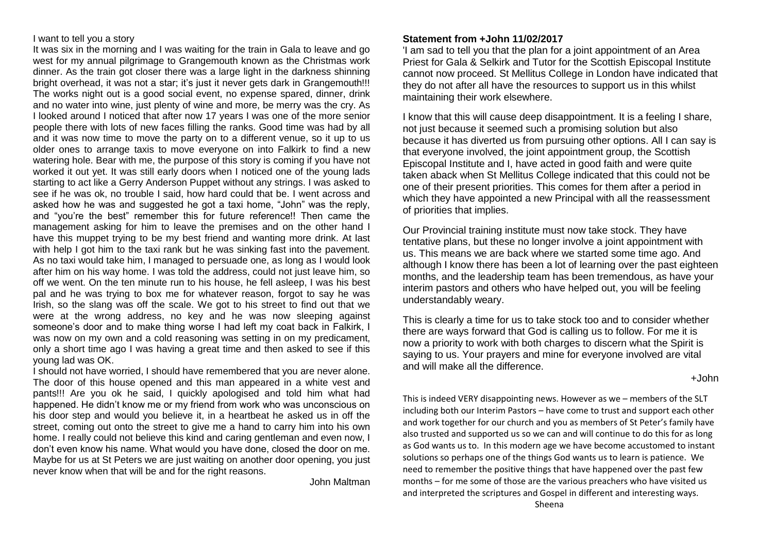#### I want to tell you a story

It was six in the morning and I was waiting for the train in Gala to leave and go west for my annual pilgrimage to Grangemouth known as the Christmas work dinner. As the train got closer there was a large light in the darkness shinning bright overhead, it was not a star; it's just it never gets dark in Grangemouth!!! The works night out is a good social event, no expense spared, dinner, drink and no water into wine, just plenty of wine and more, be merry was the cry. As I looked around I noticed that after now 17 years I was one of the more senior people there with lots of new faces filling the ranks. Good time was had by all and it was now time to move the party on to a different venue, so it up to us older ones to arrange taxis to move everyone on into Falkirk to find a new watering hole. Bear with me, the purpose of this story is coming if you have not worked it out yet. It was still early doors when I noticed one of the young lads starting to act like a Gerry Anderson Puppet without any strings. I was asked to see if he was ok, no trouble I said, how hard could that be. I went across and asked how he was and suggested he got a taxi home, "John" was the reply, and "you're the best" remember this for future reference!! Then came the management asking for him to leave the premises and on the other hand I have this muppet trying to be my best friend and wanting more drink. At last with help I got him to the taxi rank but he was sinking fast into the pavement. As no taxi would take him, I managed to persuade one, as long as I would look after him on his way home. I was told the address, could not just leave him, so off we went. On the ten minute run to his house, he fell asleep, I was his best pal and he was trying to box me for whatever reason, forgot to say he was Irish, so the slang was off the scale. We got to his street to find out that we were at the wrong address, no key and he was now sleeping against someone's door and to make thing worse I had left my coat back in Falkirk, I was now on my own and a cold reasoning was setting in on my predicament, only a short time ago I was having a great time and then asked to see if this young lad was OK.

I should not have worried, I should have remembered that you are never alone. The door of this house opened and this man appeared in a white vest and pants!!! Are you ok he said, I quickly apologised and told him what had happened. He didn't know me or my friend from work who was unconscious on his door step and would you believe it, in a heartbeat he asked us in off the street, coming out onto the street to give me a hand to carry him into his own home. I really could not believe this kind and caring gentleman and even now, I don't even know his name. What would you have done, closed the door on me. Maybe for us at St Peters we are just waiting on another door opening, you just never know when that will be and for the right reasons.

John Maltman

#### **Statement from +John 11/02/2017**

'I am sad to tell you that the plan for a joint appointment of an Area Priest for Gala & Selkirk and Tutor for the Scottish Episcopal Institute cannot now proceed. St Mellitus College in London have indicated that they do not after all have the resources to support us in this whilst maintaining their work elsewhere.

I know that this will cause deep disappointment. It is a feeling I share, not just because it seemed such a promising solution but also because it has diverted us from pursuing other options. All I can say is that everyone involved, the joint appointment group, the Scottish Episcopal Institute and I, have acted in good faith and were quite taken aback when St Mellitus College indicated that this could not be one of their present priorities. This comes for them after a period in which they have appointed a new Principal with all the reassessment of priorities that implies.

Our Provincial training institute must now take stock. They have tentative plans, but these no longer involve a joint appointment with us. This means we are back where we started some time ago. And although I know there has been a lot of learning over the past eighteen months, and the leadership team has been tremendous, as have your interim pastors and others who have helped out, you will be feeling understandably weary.

This is clearly a time for us to take stock too and to consider whether there are ways forward that God is calling us to follow. For me it is now a priority to work with both charges to discern what the Spirit is saying to us. Your prayers and mine for everyone involved are vital and will make all the difference.

+John

This is indeed VERY disappointing news. However as we – members of the SLT including both our Interim Pastors – have come to trust and support each other and work together for our church and you as members of St Peter's family have also trusted and supported us so we can and will continue to do this for as long as God wants us to. In this modern age we have become accustomed to instant solutions so perhaps one of the things God wants us to learn is patience. We need to remember the positive things that have happened over the past few months – for me some of those are the various preachers who have visited us and interpreted the scriptures and Gospel in different and interesting ways.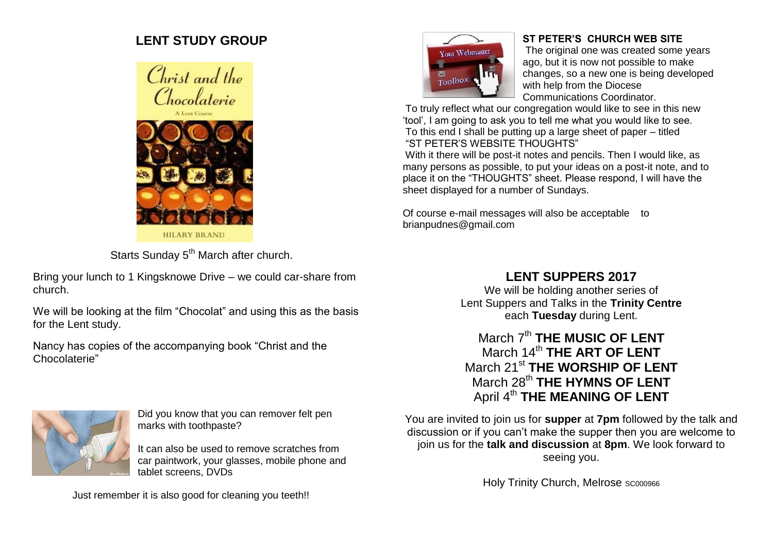# **LENT STUDY GROUP**





Starts Sunday 5<sup>th</sup> March after church.

Bring your lunch to 1 Kingsknowe Drive – we could car-share from church.

We will be looking at the film "Chocolat" and using this as the basis for the Lent study.

Nancy has copies of the accompanying book "Christ and the Chocolaterie"



### **ST PETER'S CHURCH WEB SITE**

The original one was created some years ago, but it is now not possible to make changes, so a new one is being developed with help from the Diocese Communications Coordinator.

To truly reflect what our congregation would like to see in this new 'tool', I am going to ask you to tell me what you would like to see. To this end I shall be putting up a large sheet of paper – titled "ST PETER'S WEBSITE THOUGHTS"

With it there will be post-it notes and pencils. Then I would like, as many persons as possible, to put your ideas on a post-it note, and to place it on the "THOUGHTS" sheet. Please respond, I will have the sheet displayed for a number of Sundays.

Of course e-mail messages will also be acceptable to brianpudnes@gmail.com

# **LENT SUPPERS 2017**

We will be holding another series of Lent Suppers and Talks in the **Trinity Centre** each **Tuesday** during Lent.

## March 7<sup>th</sup> THE MUSIC OF LENT March 14<sup>th</sup> THE ART OF LENT March 21st **THE WORSHIP OF LENT** March 28<sup>th</sup> THE HYMNS OF LENT April 4<sup>th</sup> THE MEANING OF LENT

You are invited to join us for **supper** at **7pm** followed by the talk and discussion or if you can't make the supper then you are welcome to join us for the **talk and discussion** at **8pm**. We look forward to seeing you.

Holy Trinity Church, Melrose SC000966



Did you know that you can remover felt pen marks with toothpaste?

It can also be used to remove scratches from car paintwork, your glasses, mobile phone and tablet screens, DVDs

Just remember it is also good for cleaning you teeth!!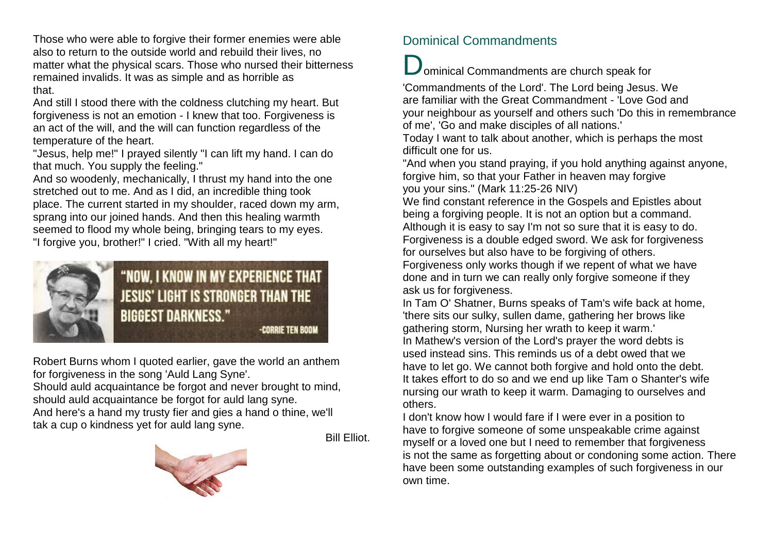Those who were able to forgive their former enemies were able also to return to the outside world and rebuild their lives, no matter what the physical scars. Those who nursed their bitterness remained invalids. It was as simple and as horrible as that.

And still I stood there with the coldness clutching my heart. But forgiveness is not an emotion - I knew that too. Forgiveness is an act of the will, and the will can function regardless of the temperature of the heart.

"Jesus, help me!" I prayed silently "I can lift my hand. I can do that much. You supply the feeling."

And so woodenly, mechanically, I thrust my hand into the one stretched out to me. And as I did, an incredible thing took place. The current started in my shoulder, raced down my arm, sprang into our joined hands. And then this healing warmth seemed to flood my whole being, bringing tears to my eyes. "I forgive you, brother!" I cried. "With all my heart!"



Robert Burns whom I quoted earlier, gave the world an anthem for forgiveness in the song 'Auld Lang Syne'.

Should auld acquaintance be forgot and never brought to mind, should auld acquaintance be forgot for auld lang syne. And here's a hand my trusty fier and gies a hand o thine, we'll tak a cup o kindness yet for auld lang syne.

Bill Elliot.



## Dominical Commandments

ominical Commandments are church speak for

'Commandments of the Lord'. The Lord being Jesus. We are familiar with the Great Commandment - 'Love God and your neighbour as yourself and others such 'Do this in remembrance of me', 'Go and make disciples of all nations.'

Today I want to talk about another, which is perhaps the most difficult one for us.

"And when you stand praying, if you hold anything against anyone, forgive him, so that your Father in heaven may forgive you your sins." (Mark 11:25-26 NIV)

We find constant reference in the Gospels and Epistles about being a forgiving people. It is not an option but a command. Although it is easy to say I'm not so sure that it is easy to do. Forgiveness is a double edged sword. We ask for forgiveness for ourselves but also have to be forgiving of others. Forgiveness only works though if we repent of what we have done and in turn we can really only forgive someone if they ask us for forgiveness.

In Tam O' Shatner, Burns speaks of Tam's wife back at home, 'there sits our sulky, sullen dame, gathering her brows like gathering storm, Nursing her wrath to keep it warm.' In Mathew's version of the Lord's prayer the word debts is used instead sins. This reminds us of a debt owed that we have to let go. We cannot both forgive and hold onto the debt. It takes effort to do so and we end up like Tam o Shanter's wife nursing our wrath to keep it warm. Damaging to ourselves and others.

I don't know how I would fare if I were ever in a position to have to forgive someone of some unspeakable crime against myself or a loved one but I need to remember that forgiveness is not the same as forgetting about or condoning some action. There have been some outstanding examples of such forgiveness in our own time.